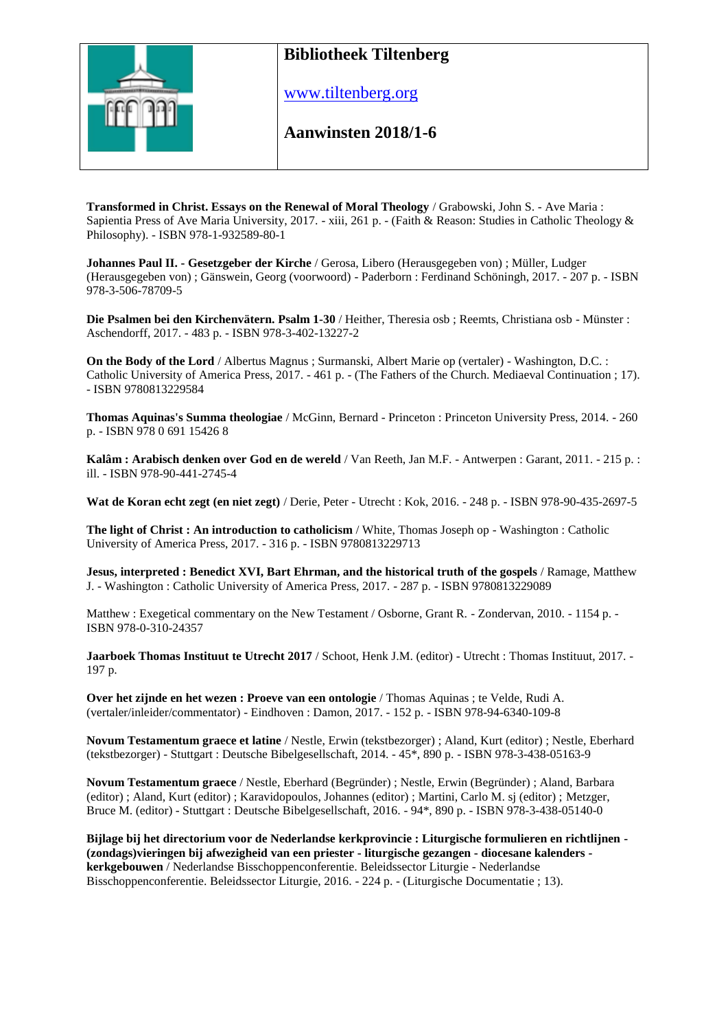

www.tiltenberg.org

**Aanwinsten 2018/1-6 Aanwinsten 2014**

**Transformed in Christ. Essays on the Renewal of Moral Theology** / Grabowski, John S. - Ave Maria : Sapientia Press of Ave Maria University, 2017. - xiii, 261 p. - (Faith & Reason: Studies in Catholic Theology & Philosophy). - ISBN 978-1-932589-80-1

**Johannes Paul II. - Gesetzgeber der Kirche** / Gerosa, Libero (Herausgegeben von) ; Müller, Ludger (Herausgegeben von) ; Gänswein, Georg (voorwoord) - Paderborn : Ferdinand Schöningh, 2017. - 207 p. - ISBN 978-3-506-78709-5

**Die Psalmen bei den Kirchenvätern. Psalm 1-30** / Heither, Theresia osb ; Reemts, Christiana osb - Münster : Aschendorff, 2017. - 483 p. - ISBN 978-3-402-13227-2

**On the Body of the Lord** / Albertus Magnus ; Surmanski, Albert Marie op (vertaler) - Washington, D.C. : Catholic University of America Press, 2017. - 461 p. - (The Fathers of the Church. Mediaeval Continuation ; 17). - ISBN 9780813229584

**Thomas Aquinas's Summa theologiae** / McGinn, Bernard - Princeton : Princeton University Press, 2014. - 260 p. - ISBN 978 0 691 15426 8

**Kalâm : Arabisch denken over God en de wereld** / Van Reeth, Jan M.F. - Antwerpen : Garant, 2011. - 215 p. : ill. - ISBN 978-90-441-2745-4

**Wat de Koran echt zegt (en niet zegt)** / Derie, Peter - Utrecht : Kok, 2016. - 248 p. - ISBN 978-90-435-2697-5

**The light of Christ : An introduction to catholicism** / White, Thomas Joseph op - Washington : Catholic University of America Press, 2017. - 316 p. - ISBN 9780813229713

**Jesus, interpreted : Benedict XVI, Bart Ehrman, and the historical truth of the gospels** / Ramage, Matthew J. - Washington : Catholic University of America Press, 2017. - 287 p. - ISBN 9780813229089

Matthew : Exegetical commentary on the New Testament / Osborne, Grant R. - Zondervan, 2010. - 1154 p. - ISBN 978-0-310-24357

**Jaarboek Thomas Instituut te Utrecht 2017** / Schoot, Henk J.M. (editor) - Utrecht : Thomas Instituut, 2017. - 197 p.

**Over het zijnde en het wezen : Proeve van een ontologie** / Thomas Aquinas ; te Velde, Rudi A. (vertaler/inleider/commentator) - Eindhoven : Damon, 2017. - 152 p. - ISBN 978-94-6340-109-8

**Novum Testamentum graece et latine** / Nestle, Erwin (tekstbezorger) ; Aland, Kurt (editor) ; Nestle, Eberhard (tekstbezorger) - Stuttgart : Deutsche Bibelgesellschaft, 2014. - 45\*, 890 p. - ISBN 978-3-438-05163-9

**Novum Testamentum graece** / Nestle, Eberhard (Begründer) ; Nestle, Erwin (Begründer) ; Aland, Barbara (editor) ; Aland, Kurt (editor) ; Karavidopoulos, Johannes (editor) ; Martini, Carlo M. sj (editor) ; Metzger, Bruce M. (editor) - Stuttgart : Deutsche Bibelgesellschaft, 2016. - 94\*, 890 p. - ISBN 978-3-438-05140-0

**Bijlage bij het directorium voor de Nederlandse kerkprovincie : Liturgische formulieren en richtlijnen - (zondags)vieringen bij afwezigheid van een priester - liturgische gezangen - diocesane kalenders kerkgebouwen** / Nederlandse Bisschoppenconferentie. Beleidssector Liturgie - Nederlandse Bisschoppenconferentie. Beleidssector Liturgie, 2016. - 224 p. - (Liturgische Documentatie ; 13).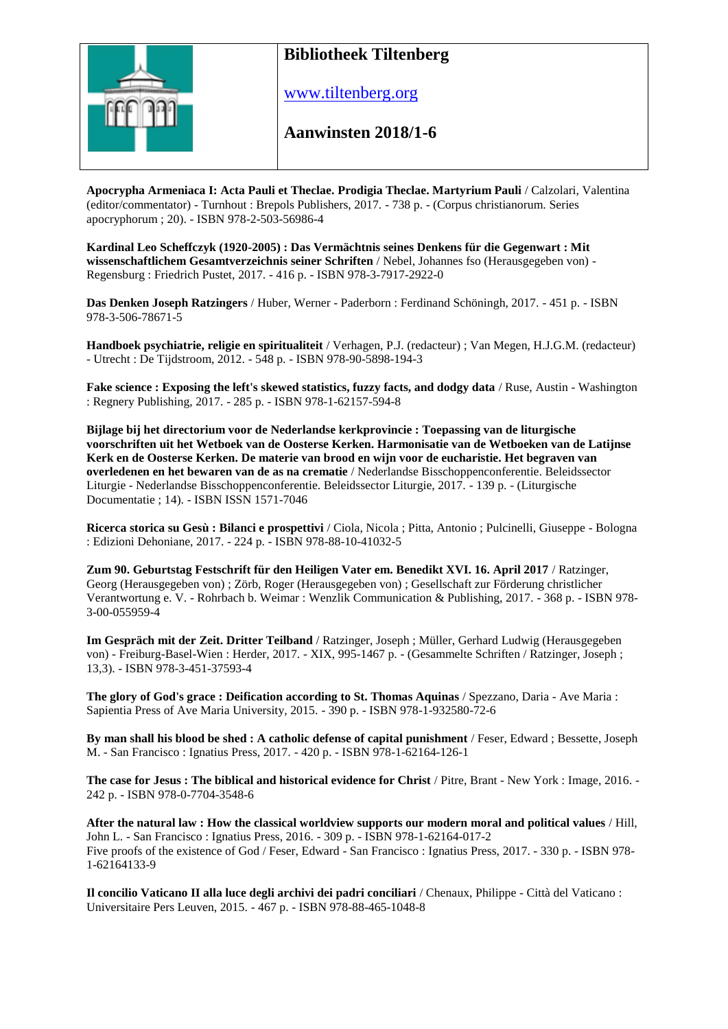

www.tiltenberg.org

#### **Aanwinsten 2018/1-6 Aanwinsten 2014**

**Apocrypha Armeniaca I: Acta Pauli et Theclae. Prodigia Theclae. Martyrium Pauli** / Calzolari, Valentina (editor/commentator) - Turnhout : Brepols Publishers, 2017. - 738 p. - (Corpus christianorum. Series apocryphorum ; 20). - ISBN 978-2-503-56986-4

**Kardinal Leo Scheffczyk (1920-2005) : Das Vermächtnis seines Denkens für die Gegenwart : Mit wissenschaftlichem Gesamtverzeichnis seiner Schriften** / Nebel, Johannes fso (Herausgegeben von) - Regensburg : Friedrich Pustet, 2017. - 416 p. - ISBN 978-3-7917-2922-0

**Das Denken Joseph Ratzingers** / Huber, Werner - Paderborn : Ferdinand Schöningh, 2017. - 451 p. - ISBN 978-3-506-78671-5

**Handboek psychiatrie, religie en spiritualiteit** / Verhagen, P.J. (redacteur) ; Van Megen, H.J.G.M. (redacteur) - Utrecht : De Tijdstroom, 2012. - 548 p. - ISBN 978-90-5898-194-3

**Fake science : Exposing the left's skewed statistics, fuzzy facts, and dodgy data** / Ruse, Austin - Washington : Regnery Publishing, 2017. - 285 p. - ISBN 978-1-62157-594-8

**Bijlage bij het directorium voor de Nederlandse kerkprovincie : Toepassing van de liturgische voorschriften uit het Wetboek van de Oosterse Kerken. Harmonisatie van de Wetboeken van de Latijnse Kerk en de Oosterse Kerken. De materie van brood en wijn voor de eucharistie. Het begraven van overledenen en het bewaren van de as na crematie** / Nederlandse Bisschoppenconferentie. Beleidssector Liturgie - Nederlandse Bisschoppenconferentie. Beleidssector Liturgie, 2017. - 139 p. - (Liturgische Documentatie ; 14). - ISBN ISSN 1571-7046

**Ricerca storica su Gesù : Bilanci e prospettivi** / Ciola, Nicola ; Pitta, Antonio ; Pulcinelli, Giuseppe - Bologna : Edizioni Dehoniane, 2017. - 224 p. - ISBN 978-88-10-41032-5

**Zum 90. Geburtstag Festschrift für den Heiligen Vater em. Benedikt XVI. 16. April 2017** / Ratzinger, Georg (Herausgegeben von) ; Zörb, Roger (Herausgegeben von) ; Gesellschaft zur Förderung christlicher Verantwortung e. V. - Rohrbach b. Weimar : Wenzlik Communication & Publishing, 2017. - 368 p. - ISBN 978- 3-00-055959-4

**Im Gespräch mit der Zeit. Dritter Teilband** / Ratzinger, Joseph ; Müller, Gerhard Ludwig (Herausgegeben von) - Freiburg-Basel-Wien : Herder, 2017. - XIX, 995-1467 p. - (Gesammelte Schriften / Ratzinger, Joseph; 13,3). - ISBN 978-3-451-37593-4

**The glory of God's grace : Deification according to St. Thomas Aquinas** / Spezzano, Daria - Ave Maria : Sapientia Press of Ave Maria University, 2015. - 390 p. - ISBN 978-1-932580-72-6

**By man shall his blood be shed : A catholic defense of capital punishment** / Feser, Edward ; Bessette, Joseph M. - San Francisco : Ignatius Press, 2017. - 420 p. - ISBN 978-1-62164-126-1

**The case for Jesus : The biblical and historical evidence for Christ** / Pitre, Brant - New York : Image, 2016. - 242 p. - ISBN 978-0-7704-3548-6

**After the natural law : How the classical worldview supports our modern moral and political values** / Hill, John L. - San Francisco : Ignatius Press, 2016. - 309 p. - ISBN 978-1-62164-017-2 Five proofs of the existence of God / Feser, Edward - San Francisco : Ignatius Press, 2017. - 330 p. - ISBN 978- 1-62164133-9

**Il concilio Vaticano II alla luce degli archivi dei padri conciliari** / Chenaux, Philippe - Città del Vaticano : Universitaire Pers Leuven, 2015. - 467 p. - ISBN 978-88-465-1048-8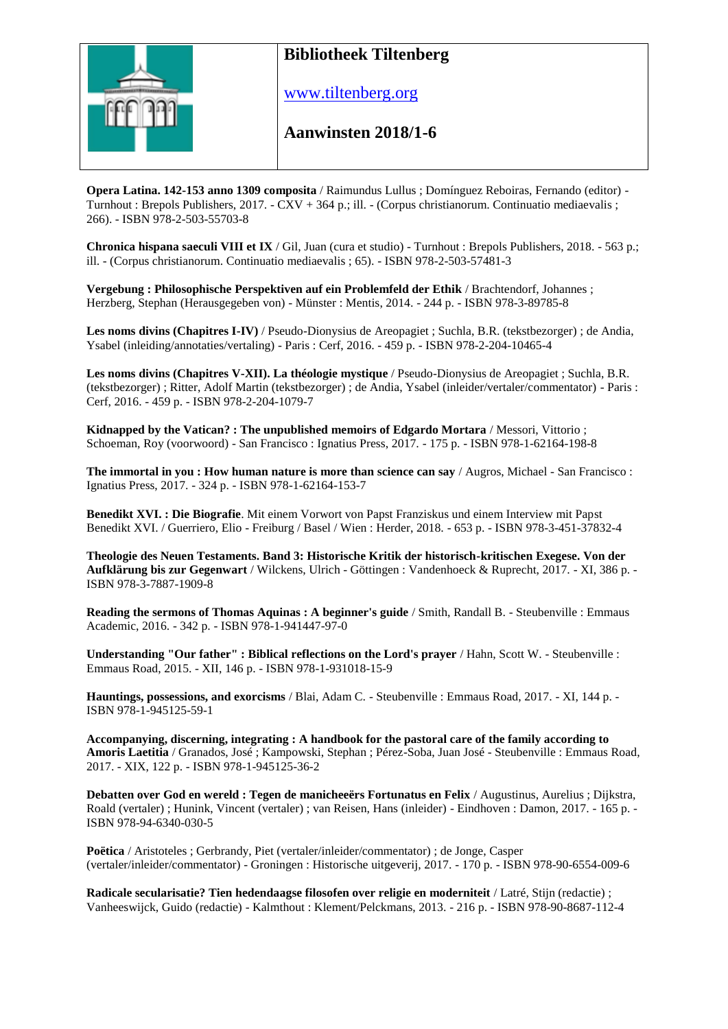

www.tiltenberg.org

#### **Aanwinsten 2018/1-6 Aanwinsten 2014**

**Opera Latina. 142-153 anno 1309 composita** / Raimundus Lullus ; Domínguez Reboiras, Fernando (editor) - Turnhout : Brepols Publishers, 2017. - CXV + 364 p.; ill. - (Corpus christianorum. Continuatio mediaevalis ; 266). - ISBN 978-2-503-55703-8

**Chronica hispana saeculi VIII et IX** / Gil, Juan (cura et studio) - Turnhout : Brepols Publishers, 2018. - 563 p.; ill. - (Corpus christianorum. Continuatio mediaevalis ; 65). - ISBN 978-2-503-57481-3

**Vergebung : Philosophische Perspektiven auf ein Problemfeld der Ethik** / Brachtendorf, Johannes ; Herzberg, Stephan (Herausgegeben von) - Münster : Mentis, 2014. - 244 p. - ISBN 978-3-89785-8

**Les noms divins (Chapitres I-IV)** / Pseudo-Dionysius de Areopagiet ; Suchla, B.R. (tekstbezorger) ; de Andia, Ysabel (inleiding/annotaties/vertaling) - Paris : Cerf, 2016. - 459 p. - ISBN 978-2-204-10465-4

**Les noms divins (Chapitres V-XII). La théologie mystique** / Pseudo-Dionysius de Areopagiet ; Suchla, B.R. (tekstbezorger) ; Ritter, Adolf Martin (tekstbezorger) ; de Andia, Ysabel (inleider/vertaler/commentator) - Paris : Cerf, 2016. - 459 p. - ISBN 978-2-204-1079-7

**Kidnapped by the Vatican? : The unpublished memoirs of Edgardo Mortara** / Messori, Vittorio ; Schoeman, Roy (voorwoord) - San Francisco : Ignatius Press, 2017. - 175 p. - ISBN 978-1-62164-198-8

**The immortal in you : How human nature is more than science can say** / Augros, Michael - San Francisco : Ignatius Press, 2017. - 324 p. - ISBN 978-1-62164-153-7

**Benedikt XVI. : Die Biografie**. Mit einem Vorwort von Papst Franziskus und einem Interview mit Papst Benedikt XVI. / Guerriero, Elio - Freiburg / Basel / Wien : Herder, 2018. - 653 p. - ISBN 978-3-451-37832-4

**Theologie des Neuen Testaments. Band 3: Historische Kritik der historisch-kritischen Exegese. Von der Aufklärung bis zur Gegenwart** / Wilckens, Ulrich - Göttingen : Vandenhoeck & Ruprecht, 2017. - XI, 386 p. - ISBN 978-3-7887-1909-8

**Reading the sermons of Thomas Aquinas : A beginner's guide** / Smith, Randall B. - Steubenville : Emmaus Academic, 2016. - 342 p. - ISBN 978-1-941447-97-0

**Understanding "Our father" : Biblical reflections on the Lord's prayer** / Hahn, Scott W. - Steubenville : Emmaus Road, 2015. - XII, 146 p. - ISBN 978-1-931018-15-9

**Hauntings, possessions, and exorcisms** / Blai, Adam C. - Steubenville : Emmaus Road, 2017. - XI, 144 p. - ISBN 978-1-945125-59-1

**Accompanying, discerning, integrating : A handbook for the pastoral care of the family according to Amoris Laetitia** / Granados, José ; Kampowski, Stephan ; Pérez-Soba, Juan José - Steubenville : Emmaus Road, 2017. - XIX, 122 p. - ISBN 978-1-945125-36-2

**Debatten over God en wereld : Tegen de manicheeërs Fortunatus en Felix** / Augustinus, Aurelius ; Dijkstra, Roald (vertaler) ; Hunink, Vincent (vertaler) ; van Reisen, Hans (inleider) - Eindhoven : Damon, 2017. - 165 p. - ISBN 978-94-6340-030-5

**Poëtica** / Aristoteles ; Gerbrandy, Piet (vertaler/inleider/commentator) ; de Jonge, Casper (vertaler/inleider/commentator) - Groningen : Historische uitgeverij, 2017. - 170 p. - ISBN 978-90-6554-009-6

**Radicale secularisatie? Tien hedendaagse filosofen over religie en moderniteit** / Latré, Stijn (redactie) ; Vanheeswijck, Guido (redactie) - Kalmthout : Klement/Pelckmans, 2013. - 216 p. - ISBN 978-90-8687-112-4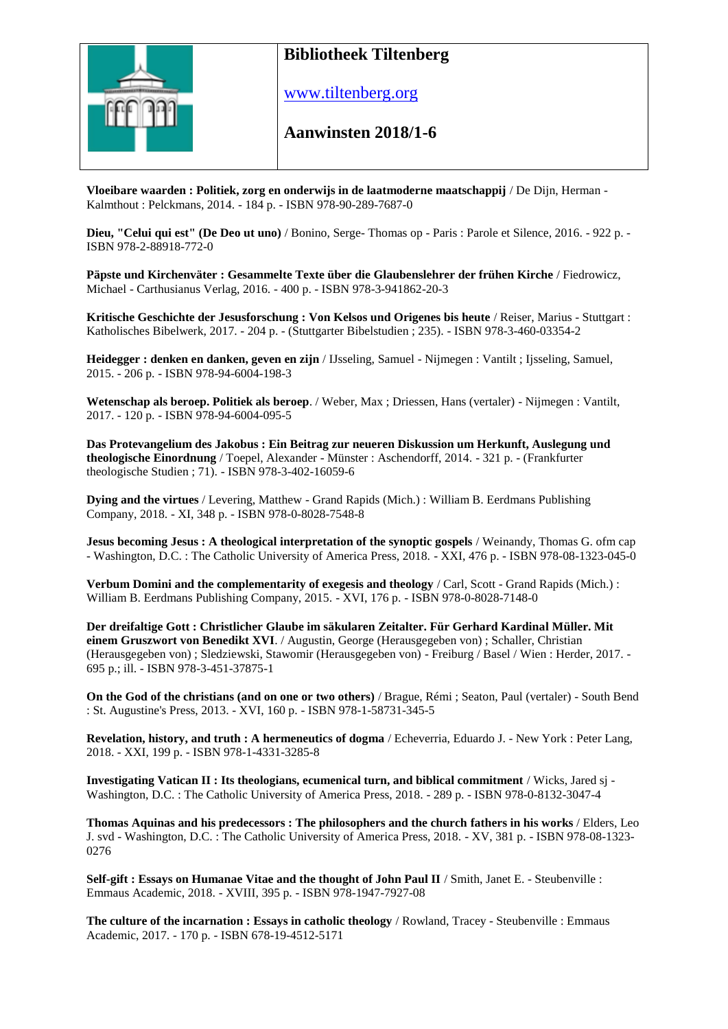

www.tiltenberg.org

#### **Aanwinsten 2018/1-6 Aanwinsten 2014**

**Vloeibare waarden : Politiek, zorg en onderwijs in de laatmoderne maatschappij** / De Dijn, Herman - Kalmthout : Pelckmans, 2014. - 184 p. - ISBN 978-90-289-7687-0

**Dieu, "Celui qui est" (De Deo ut uno)** / Bonino, Serge- Thomas op - Paris : Parole et Silence, 2016. - 922 p. - ISBN 978-2-88918-772-0

**Päpste und Kirchenväter : Gesammelte Texte über die Glaubenslehrer der frühen Kirche** / Fiedrowicz, Michael - Carthusianus Verlag, 2016. - 400 p. - ISBN 978-3-941862-20-3

**Kritische Geschichte der Jesusforschung : Von Kelsos und Origenes bis heute** / Reiser, Marius - Stuttgart : Katholisches Bibelwerk, 2017. - 204 p. - (Stuttgarter Bibelstudien ; 235). - ISBN 978-3-460-03354-2

**Heidegger : denken en danken, geven en zijn** / IJsseling, Samuel - Nijmegen : Vantilt ; Ijsseling, Samuel, 2015. - 206 p. - ISBN 978-94-6004-198-3

**Wetenschap als beroep. Politiek als beroep**. / Weber, Max ; Driessen, Hans (vertaler) - Nijmegen : Vantilt, 2017. - 120 p. - ISBN 978-94-6004-095-5

**Das Protevangelium des Jakobus : Ein Beitrag zur neueren Diskussion um Herkunft, Auslegung und theologische Einordnung** / Toepel, Alexander - Münster : Aschendorff, 2014. - 321 p. - (Frankfurter theologische Studien ; 71). - ISBN 978-3-402-16059-6

**Dying and the virtues** / Levering, Matthew - Grand Rapids (Mich.) : William B. Eerdmans Publishing Company, 2018. - XI, 348 p. - ISBN 978-0-8028-7548-8

**Jesus becoming Jesus : A theological interpretation of the synoptic gospels** / Weinandy, Thomas G. ofm cap - Washington, D.C. : The Catholic University of America Press, 2018. - XXI, 476 p. - ISBN 978-08-1323-045-0

**Verbum Domini and the complementarity of exegesis and theology** / Carl, Scott - Grand Rapids (Mich.) : William B. Eerdmans Publishing Company, 2015. - XVI, 176 p. - ISBN 978-0-8028-7148-0

**Der dreifaltige Gott : Christlicher Glaube im säkularen Zeitalter. Für Gerhard Kardinal Müller. Mit einem Gruszwort von Benedikt XVI**. / Augustin, George (Herausgegeben von) ; Schaller, Christian (Herausgegeben von) ; Sledziewski, Stawomir (Herausgegeben von) - Freiburg / Basel / Wien : Herder, 2017. - 695 p.; ill. - ISBN 978-3-451-37875-1

**On the God of the christians (and on one or two others)** / Brague, Rémi ; Seaton, Paul (vertaler) - South Bend : St. Augustine's Press, 2013. - XVI, 160 p. - ISBN 978-1-58731-345-5

**Revelation, history, and truth : A hermeneutics of dogma** / Echeverria, Eduardo J. - New York : Peter Lang, 2018. - XXI, 199 p. - ISBN 978-1-4331-3285-8

**Investigating Vatican II : Its theologians, ecumenical turn, and biblical commitment** / Wicks, Jared sj - Washington, D.C. : The Catholic University of America Press, 2018. - 289 p. - ISBN 978-0-8132-3047-4

**Thomas Aquinas and his predecessors : The philosophers and the church fathers in his works** / Elders, Leo J. svd - Washington, D.C. : The Catholic University of America Press, 2018. - XV, 381 p. - ISBN 978-08-1323- 0276

**Self-gift : Essays on Humanae Vitae and the thought of John Paul II** / Smith, Janet E. - Steubenville : Emmaus Academic, 2018. - XVIII, 395 p. - ISBN 978-1947-7927-08

**The culture of the incarnation : Essays in catholic theology** / Rowland, Tracey - Steubenville : Emmaus Academic, 2017. - 170 p. - ISBN 678-19-4512-5171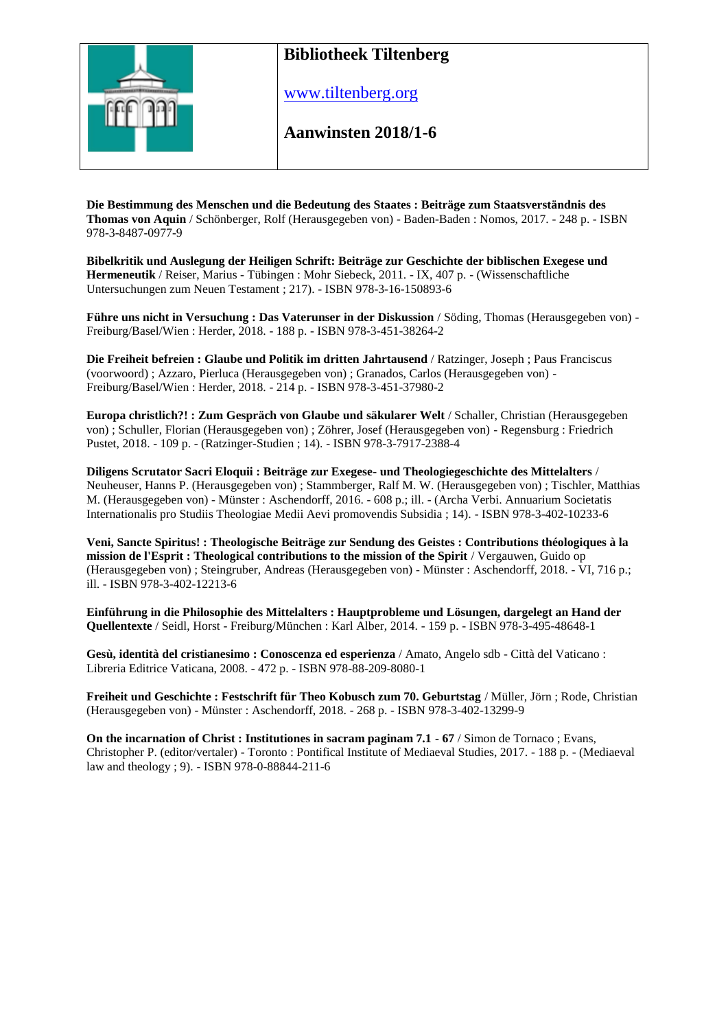

www.tiltenberg.org

**Aanwinsten 2018/1-6 Aanwinsten 2014**

**Die Bestimmung des Menschen und die Bedeutung des Staates : Beiträge zum Staatsverständnis des Thomas von Aquin** / Schönberger, Rolf (Herausgegeben von) - Baden-Baden : Nomos, 2017. - 248 p. - ISBN 978-3-8487-0977-9

**Bibelkritik und Auslegung der Heiligen Schrift: Beiträge zur Geschichte der biblischen Exegese und Hermeneutik** / Reiser, Marius - Tübingen : Mohr Siebeck, 2011. - IX, 407 p. - (Wissenschaftliche Untersuchungen zum Neuen Testament ; 217). - ISBN 978-3-16-150893-6

**Führe uns nicht in Versuchung : Das Vaterunser in der Diskussion** / Söding, Thomas (Herausgegeben von) - Freiburg/Basel/Wien : Herder, 2018. - 188 p. - ISBN 978-3-451-38264-2

**Die Freiheit befreien : Glaube und Politik im dritten Jahrtausend** / Ratzinger, Joseph ; Paus Franciscus (voorwoord) ; Azzaro, Pierluca (Herausgegeben von) ; Granados, Carlos (Herausgegeben von) - Freiburg/Basel/Wien : Herder, 2018. - 214 p. - ISBN 978-3-451-37980-2

**Europa christlich?! : Zum Gespräch von Glaube und säkularer Welt** / Schaller, Christian (Herausgegeben von) ; Schuller, Florian (Herausgegeben von) ; Zöhrer, Josef (Herausgegeben von) - Regensburg : Friedrich Pustet, 2018. - 109 p. - (Ratzinger-Studien ; 14). - ISBN 978-3-7917-2388-4

**Diligens Scrutator Sacri Eloquii : Beiträge zur Exegese- und Theologiegeschichte des Mittelalters** / Neuheuser, Hanns P. (Herausgegeben von) ; Stammberger, Ralf M. W. (Herausgegeben von) ; Tischler, Matthias M. (Herausgegeben von) - Münster : Aschendorff, 2016. - 608 p.; ill. - (Archa Verbi. Annuarium Societatis Internationalis pro Studiis Theologiae Medii Aevi promovendis Subsidia ; 14). - ISBN 978-3-402-10233-6

**Veni, Sancte Spiritus! : Theologische Beiträge zur Sendung des Geistes : Contributions théologiques à la mission de l'Esprit : Theological contributions to the mission of the Spirit** / Vergauwen, Guido op (Herausgegeben von) ; Steingruber, Andreas (Herausgegeben von) - Münster : Aschendorff, 2018. - VI, 716 p.; ill. - ISBN 978-3-402-12213-6

**Einführung in die Philosophie des Mittelalters : Hauptprobleme und Lösungen, dargelegt an Hand der Quellentexte** / Seidl, Horst - Freiburg/München : Karl Alber, 2014. - 159 p. - ISBN 978-3-495-48648-1

**Gesù, identità del cristianesimo : Conoscenza ed esperienza** / Amato, Angelo sdb - Città del Vaticano : Libreria Editrice Vaticana, 2008. - 472 p. - ISBN 978-88-209-8080-1

**Freiheit und Geschichte : Festschrift für Theo Kobusch zum 70. Geburtstag** / Müller, Jörn ; Rode, Christian (Herausgegeben von) - Münster : Aschendorff, 2018. - 268 p. - ISBN 978-3-402-13299-9

**On the incarnation of Christ : Institutiones in sacram paginam 7.1 - 67** / Simon de Tornaco ; Evans, Christopher P. (editor/vertaler) - Toronto : Pontifical Institute of Mediaeval Studies, 2017. - 188 p. - (Mediaeval law and theology ; 9). - ISBN 978-0-88844-211-6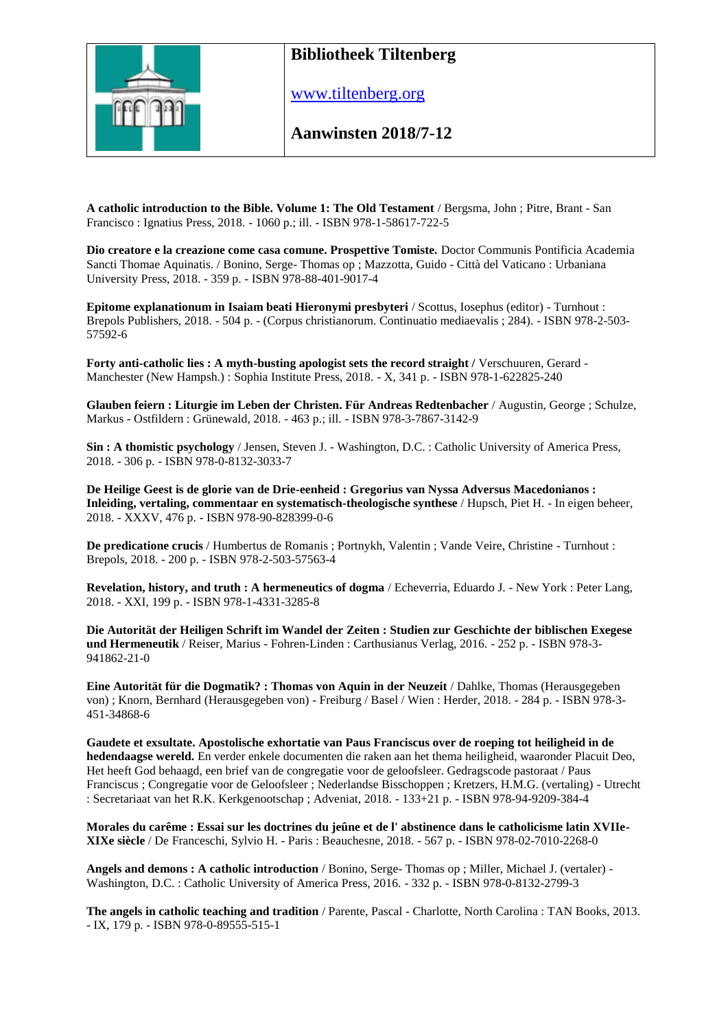

[www.tiltenberg.org](http://www.tiltenberg.org/)

**Aanwinsten 2018/7-12**

**A catholic introduction to the Bible. Volume 1: The Old Testament** / Bergsma, John ; Pitre, Brant - San Francisco : Ignatius Press, 2018. - 1060 p.; ill. - ISBN 978-1-58617-722-5

**Dio creatore e la creazione come casa comune. Prospettive Tomiste.** Doctor Communis Pontificia Academia Sancti Thomae Aquinatis. / Bonino, Serge- Thomas op ; Mazzotta, Guido - Città del Vaticano : Urbaniana University Press, 2018. - 359 p. - ISBN 978-88-401-9017-4

**Epitome explanationum in Isaiam beati Hieronymi presbyteri** / Scottus, Iosephus (editor) - Turnhout : Brepols Publishers, 2018. - 504 p. - (Corpus christianorum. Continuatio mediaevalis ; 284). - ISBN 978-2-503- 57592-6

**Forty anti-catholic lies : A myth-busting apologist sets the record straight /** Verschuuren, Gerard - Manchester (New Hampsh.) : Sophia Institute Press, 2018. - X, 341 p. - ISBN 978-1-622825-240

**Glauben feiern : Liturgie im Leben der Christen. Für Andreas Redtenbacher** / Augustin, George ; Schulze, Markus - Ostfildern : Grünewald, 2018. - 463 p.; ill. - ISBN 978-3-7867-3142-9

**Sin : A thomistic psychology** / Jensen, Steven J. - Washington, D.C. : Catholic University of America Press, 2018. - 306 p. - ISBN 978-0-8132-3033-7

**De Heilige Geest is de glorie van de Drie-eenheid : Gregorius van Nyssa Adversus Macedonianos : Inleiding, vertaling, commentaar en systematisch-theologische synthese** / Hupsch, Piet H. - In eigen beheer, 2018. - XXXV, 476 p. - ISBN 978-90-828399-0-6

**De predicatione crucis** / Humbertus de Romanis ; Portnykh, Valentin ; Vande Veire, Christine - Turnhout : Brepols, 2018. - 200 p. - ISBN 978-2-503-57563-4

**Revelation, history, and truth : A hermeneutics of dogma** / Echeverria, Eduardo J. - New York : Peter Lang, 2018. - XXI, 199 p. - ISBN 978-1-4331-3285-8

**Die Autorität der Heiligen Schrift im Wandel der Zeiten : Studien zur Geschichte der biblischen Exegese und Hermeneutik** / Reiser, Marius - Fohren-Linden : Carthusianus Verlag, 2016. - 252 p. - ISBN 978-3- 941862-21-0

**Eine Autorität für die Dogmatik? : Thomas von Aquin in der Neuzeit** / Dahlke, Thomas (Herausgegeben von) ; Knorn, Bernhard (Herausgegeben von) - Freiburg / Basel / Wien : Herder, 2018. - 284 p. - ISBN 978-3- 451-34868-6

**Gaudete et exsultate. Apostolische exhortatie van Paus Franciscus over de roeping tot heiligheid in de hedendaagse wereld.** En verder enkele documenten die raken aan het thema heiligheid, waaronder Placuit Deo, Het heeft God behaagd, een brief van de congregatie voor de geloofsleer. Gedragscode pastoraat / Paus Franciscus ; Congregatie voor de Geloofsleer ; Nederlandse Bisschoppen ; Kretzers, H.M.G. (vertaling) - Utrecht : Secretariaat van het R.K. Kerkgenootschap ; Adveniat, 2018. - 133+21 p. - ISBN 978-94-9209-384-4

**Morales du carême : Essai sur les doctrines du jeûne et de l' abstinence dans le catholicisme latin XVIIe-XIXe siècle** / De Franceschi, Sylvio H. - Paris : Beauchesne, 2018. - 567 p. - ISBN 978-02-7010-2268-0

**Angels and demons : A catholic introduction** / Bonino, Serge- Thomas op ; Miller, Michael J. (vertaler) - Washington, D.C. : Catholic University of America Press, 2016. - 332 p. - ISBN 978-0-8132-2799-3

**The angels in catholic teaching and tradition** / Parente, Pascal - Charlotte, North Carolina : TAN Books, 2013. - IX, 179 p. - ISBN 978-0-89555-515-1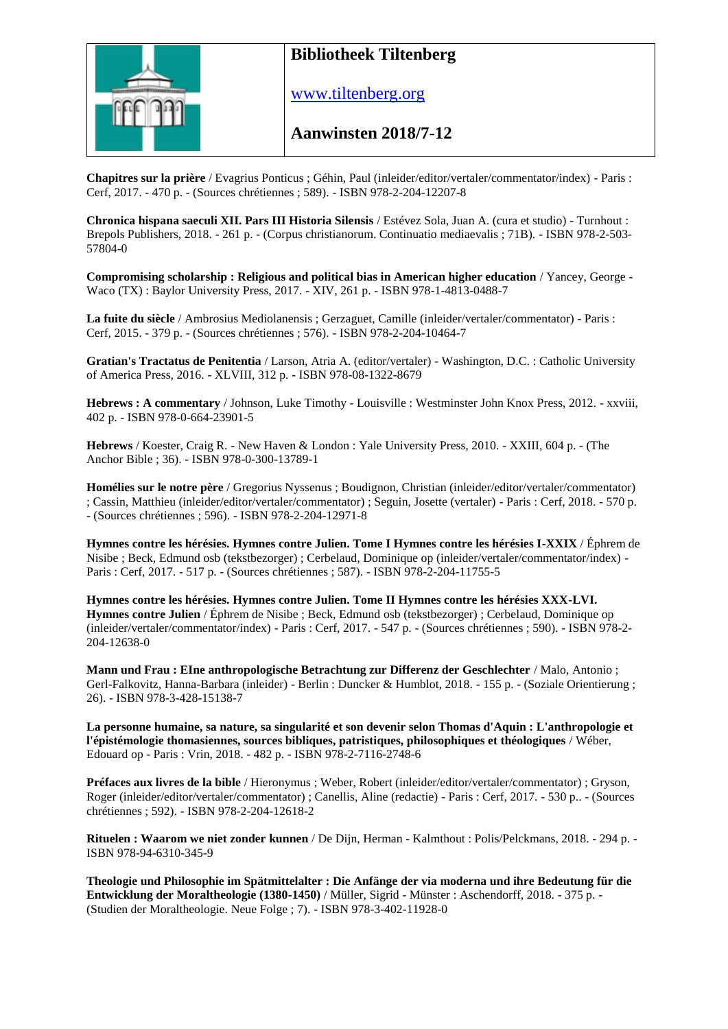

[www.tiltenberg.org](http://www.tiltenberg.org/)

**Aanwinsten 2018/7-12**

**Chapitres sur la prière** / Evagrius Ponticus ; Géhin, Paul (inleider/editor/vertaler/commentator/index) - Paris : Cerf, 2017. - 470 p. - (Sources chrétiennes ; 589). - ISBN 978-2-204-12207-8

**Chronica hispana saeculi XII. Pars III Historia Silensis** / Estévez Sola, Juan A. (cura et studio) - Turnhout : Brepols Publishers, 2018. - 261 p. - (Corpus christianorum. Continuatio mediaevalis ; 71B). - ISBN 978-2-503- 57804-0

**Compromising scholarship : Religious and political bias in American higher education** / Yancey, George - Waco (TX) : Baylor University Press, 2017. - XIV, 261 p. - ISBN 978-1-4813-0488-7

**La fuite du siècle** / Ambrosius Mediolanensis ; Gerzaguet, Camille (inleider/vertaler/commentator) - Paris : Cerf, 2015. - 379 p. - (Sources chrétiennes ; 576). - ISBN 978-2-204-10464-7

**Gratian's Tractatus de Penitentia** / Larson, Atria A. (editor/vertaler) - Washington, D.C. : Catholic University of America Press, 2016. - XLVIII, 312 p. - ISBN 978-08-1322-8679

**Hebrews : A commentary** / Johnson, Luke Timothy - Louisville : Westminster John Knox Press, 2012. - xxviii, 402 p. - ISBN 978-0-664-23901-5

**Hebrews** / Koester, Craig R. - New Haven & London : Yale University Press, 2010. - XXIII, 604 p. - (The Anchor Bible ; 36). - ISBN 978-0-300-13789-1

**Homélies sur le notre père** / Gregorius Nyssenus ; Boudignon, Christian (inleider/editor/vertaler/commentator) ; Cassin, Matthieu (inleider/editor/vertaler/commentator) ; Seguin, Josette (vertaler) - Paris : Cerf, 2018. - 570 p. - (Sources chrétiennes ; 596). - ISBN 978-2-204-12971-8

**Hymnes contre les hérésies. Hymnes contre Julien. Tome I Hymnes contre les hérésies I-XXIX** / Éphrem de Nisibe ; Beck, Edmund osb (tekstbezorger) ; Cerbelaud, Dominique op (inleider/vertaler/commentator/index) - Paris : Cerf, 2017. - 517 p. - (Sources chrétiennes ; 587). - ISBN 978-2-204-11755-5

**Hymnes contre les hérésies. Hymnes contre Julien. Tome II Hymnes contre les hérésies XXX-LVI. Hymnes contre Julien** / Éphrem de Nisibe ; Beck, Edmund osb (tekstbezorger) ; Cerbelaud, Dominique op (inleider/vertaler/commentator/index) - Paris : Cerf, 2017. - 547 p. - (Sources chrétiennes ; 590). - ISBN 978-2- 204-12638-0

**Mann und Frau : EIne anthropologische Betrachtung zur Differenz der Geschlechter** / Malo, Antonio ; Gerl-Falkovitz, Hanna-Barbara (inleider) - Berlin : Duncker & Humblot, 2018. - 155 p. - (Soziale Orientierung ; 26). - ISBN 978-3-428-15138-7

**La personne humaine, sa nature, sa singularité et son devenir selon Thomas d'Aquin : L'anthropologie et l'épistémologie thomasiennes, sources bibliques, patristiques, philosophiques et théologiques** / Wéber, Edouard op - Paris : Vrin, 2018. - 482 p. - ISBN 978-2-7116-2748-6

**Préfaces aux livres de la bible** / Hieronymus ; Weber, Robert (inleider/editor/vertaler/commentator) ; Gryson, Roger (inleider/editor/vertaler/commentator) ; Canellis, Aline (redactie) - Paris : Cerf, 2017. - 530 p.. - (Sources chrétiennes ; 592). - ISBN 978-2-204-12618-2

**Rituelen : Waarom we niet zonder kunnen** / De Dijn, Herman - Kalmthout : Polis/Pelckmans, 2018. - 294 p. - ISBN 978-94-6310-345-9

**Theologie und Philosophie im Spätmittelalter : Die Anfänge der via moderna und ihre Bedeutung für die Entwicklung der Moraltheologie (1380-1450)** / Müller, Sigrid - Münster : Aschendorff, 2018. - 375 p. - (Studien der Moraltheologie. Neue Folge ; 7). - ISBN 978-3-402-11928-0